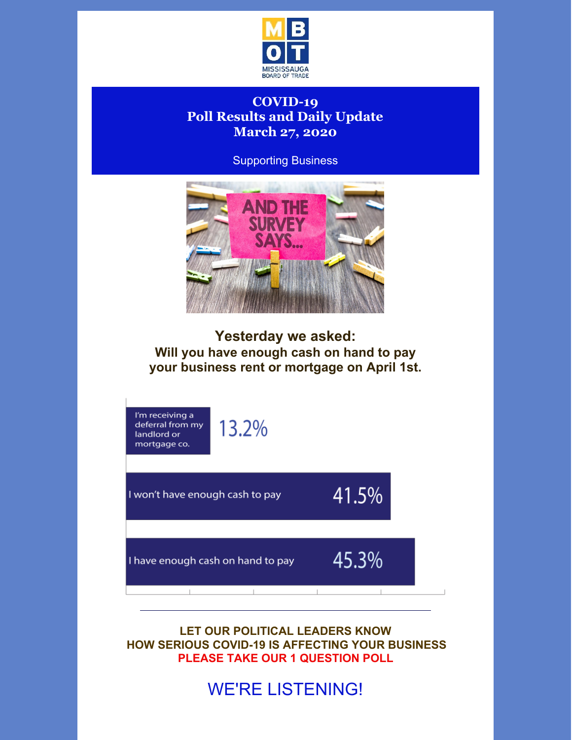

## **COVID-19 Poll Results and Daily Update March 27, 2020**

Supporting Business



**Yesterday we asked: Will you have enough cash on hand to pay your business rent or mortgage on April 1st.**



**LET OUR POLITICAL LEADERS KNOW HOW SERIOUS COVID-19 IS AFFECTING YOUR BUSINESS PLEASE TAKE OUR 1 QUESTION POLL**

WE'RE LISTENING!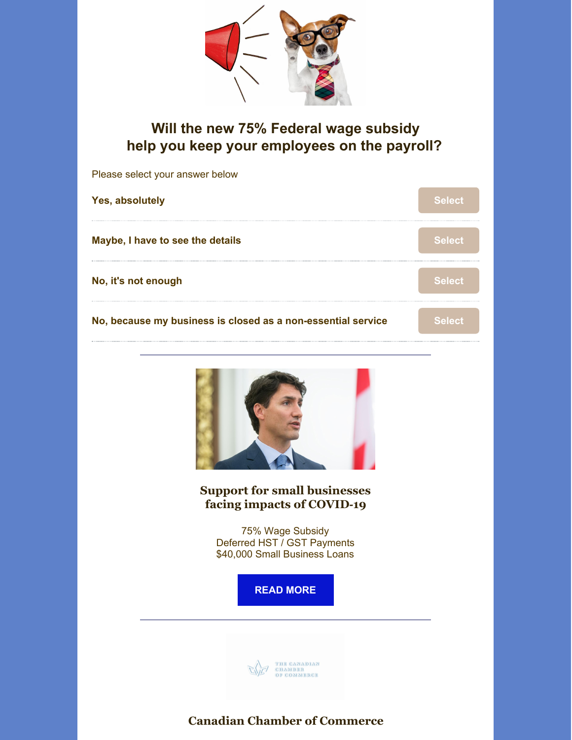

## **Will the new 75% Federal wage subsidy help you keep your employees on the payroll?**

| Please select your answer below                                                                                                                                                                      |               |
|------------------------------------------------------------------------------------------------------------------------------------------------------------------------------------------------------|---------------|
| Yes, absolutely                                                                                                                                                                                      | <b>Select</b> |
| Maybe, I have to see the details                                                                                                                                                                     | <b>Select</b> |
| No, it's not enough                                                                                                                                                                                  | <b>Select</b> |
| No, because my business is closed as a non-essential service                                                                                                                                         | <b>Select</b> |
| <b>Support for small businesses</b><br>facing impacts of COVID-19<br>75% Wage Subsidy<br>Deferred HST / GST Payments<br>\$40,000 Small Business Loans<br><b>READ MORE</b><br>THE CANADIAN<br>CHAMBER |               |

**Canadian Chamber of Commerce**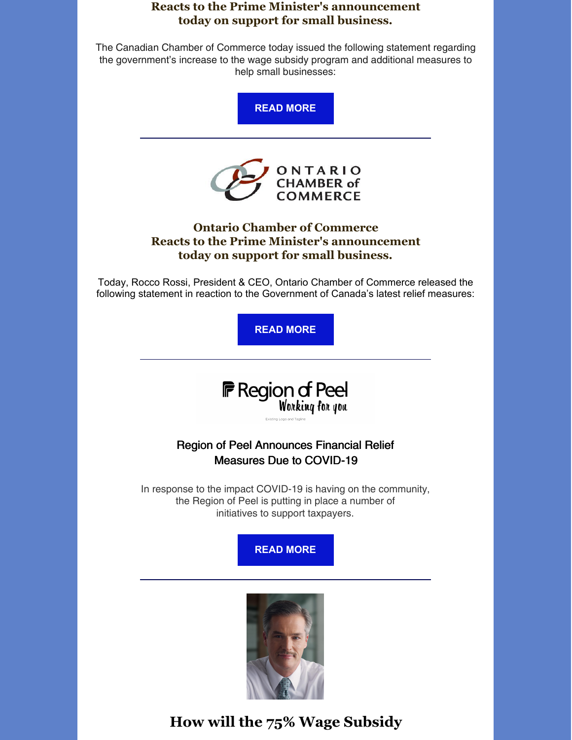#### **Reacts to the Prime Minister's announcement today on support for small business.**

The Canadian Chamber of Commerce today issued the following statement regarding the government's increase to the wage subsidy program and additional measures to help small businesses:





### **Ontario Chamber of Commerce Reacts to the Prime Minister's announcement today on support for small business.**

Today, Rocco Rossi, President & CEO, Ontario Chamber of Commerce released the following statement in reaction to the Government of Canada's latest relief measures:

**READ [MORE](https://occ.ca/mediareleases/ontario-chamber-reacts-to-latest-federal-relief-package/?utm_campaign=coschedule&utm_source=twitter&utm_medium=OntarioCofC)**



## Region of Peel Announces Financial Relief Measures Due to COVID-19

In response to the impact COVID-19 is having on the community, the Region of Peel is putting in place a number of initiatives to support taxpayers.





# **How will the 75% Wage Subsidy**